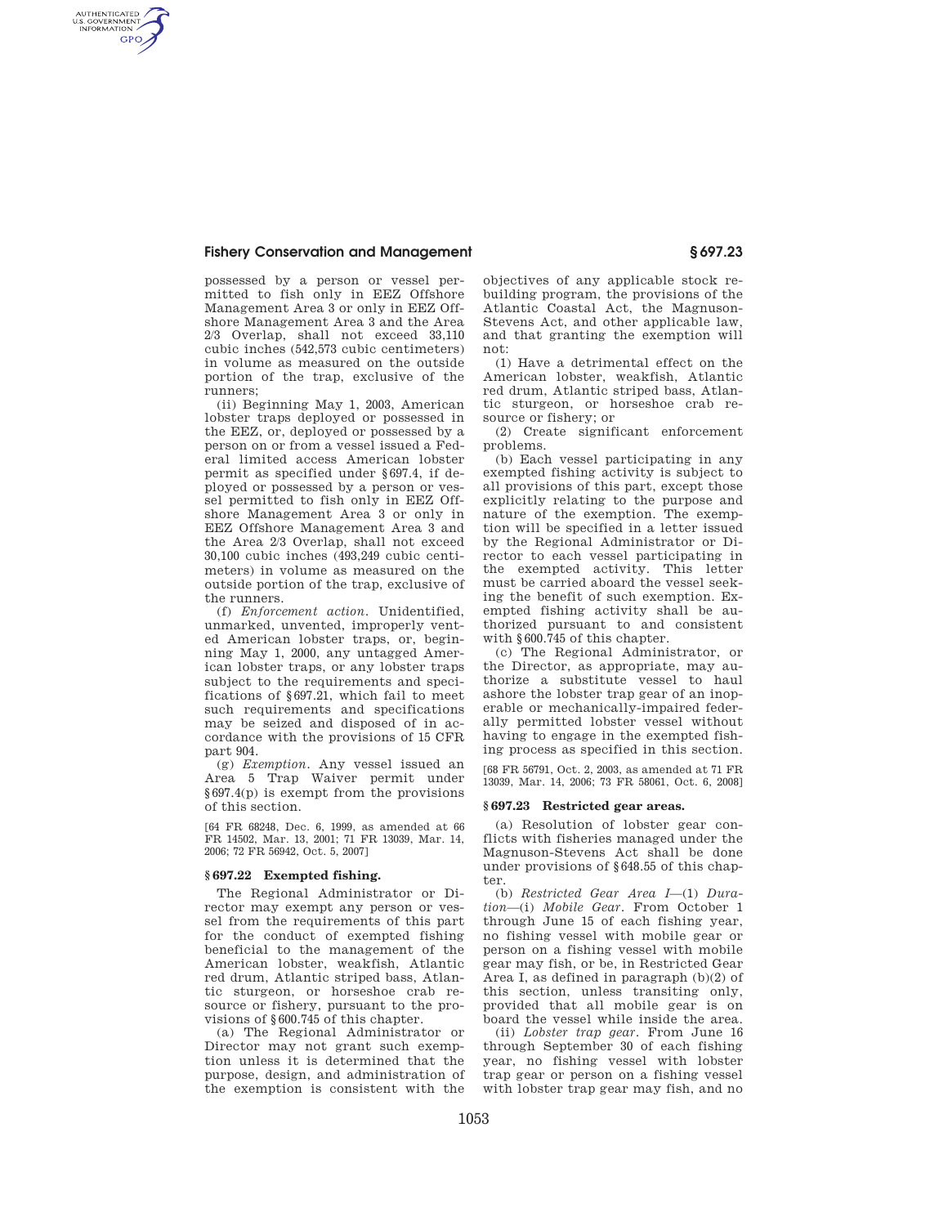### **Fishery Conservation and Management § 697.23**

AUTHENTICATED<br>U.S. GOVERNMENT<br>INFORMATION **GPO** 

> possessed by a person or vessel permitted to fish only in EEZ Offshore Management Area 3 or only in EEZ Offshore Management Area 3 and the Area 2/3 Overlap, shall not exceed 33,110 cubic inches (542,573 cubic centimeters) in volume as measured on the outside portion of the trap, exclusive of the runners;

> (ii) Beginning May 1, 2003, American lobster traps deployed or possessed in the EEZ, or, deployed or possessed by a person on or from a vessel issued a Federal limited access American lobster permit as specified under §697.4, if deployed or possessed by a person or vessel permitted to fish only in EEZ Offshore Management Area 3 or only in EEZ Offshore Management Area 3 and the Area 2/3 Overlap, shall not exceed 30,100 cubic inches (493,249 cubic centimeters) in volume as measured on the outside portion of the trap, exclusive of the runners.

> (f) *Enforcement action.* Unidentified, unmarked, unvented, improperly vented American lobster traps, or, beginning May 1, 2000, any untagged American lobster traps, or any lobster traps subject to the requirements and specifications of §697.21, which fail to meet such requirements and specifications may be seized and disposed of in accordance with the provisions of 15 CFR part 904.

> (g) *Exemption.* Any vessel issued an Area 5 Trap Waiver permit under §697.4(p) is exempt from the provisions of this section.

> [64 FR 68248, Dec. 6, 1999, as amended at 66 FR 14502, Mar. 13, 2001; 71 FR 13039, Mar. 14, 2006; 72 FR 56942, Oct. 5, 2007]

### **§ 697.22 Exempted fishing.**

The Regional Administrator or Director may exempt any person or vessel from the requirements of this part for the conduct of exempted fishing beneficial to the management of the American lobster, weakfish, Atlantic red drum, Atlantic striped bass, Atlantic sturgeon, or horseshoe crab resource or fishery, pursuant to the provisions of §600.745 of this chapter.

(a) The Regional Administrator or Director may not grant such exemption unless it is determined that the purpose, design, and administration of the exemption is consistent with the

objectives of any applicable stock rebuilding program, the provisions of the Atlantic Coastal Act, the Magnuson-Stevens Act, and other applicable law, and that granting the exemption will not:

(1) Have a detrimental effect on the American lobster, weakfish, Atlantic red drum, Atlantic striped bass, Atlantic sturgeon, or horseshoe crab resource or fishery; or

(2) Create significant enforcement problems.

(b) Each vessel participating in any exempted fishing activity is subject to all provisions of this part, except those explicitly relating to the purpose and nature of the exemption. The exemption will be specified in a letter issued by the Regional Administrator or Director to each vessel participating in the exempted activity. This letter must be carried aboard the vessel seeking the benefit of such exemption. Exempted fishing activity shall be authorized pursuant to and consistent with §600.745 of this chapter.

(c) The Regional Administrator, or the Director, as appropriate, may authorize a substitute vessel to haul ashore the lobster trap gear of an inoperable or mechanically-impaired federally permitted lobster vessel without having to engage in the exempted fishing process as specified in this section.

[68 FR 56791, Oct. 2, 2003, as amended at 71 FR 13039, Mar. 14, 2006; 73 FR 58061, Oct. 6, 2008]

### **§ 697.23 Restricted gear areas.**

(a) Resolution of lobster gear conflicts with fisheries managed under the Magnuson-Stevens Act shall be done under provisions of §648.55 of this chapter.

(b) *Restricted Gear Area I*—(1) *Duration*—(i) *Mobile Gear.* From October 1 through June 15 of each fishing year, no fishing vessel with mobile gear or person on a fishing vessel with mobile gear may fish, or be, in Restricted Gear Area I, as defined in paragraph (b)(2) of this section, unless transiting only, provided that all mobile gear is on board the vessel while inside the area.

(ii) *Lobster trap gear.* From June 16 through September 30 of each fishing year, no fishing vessel with lobster trap gear or person on a fishing vessel with lobster trap gear may fish, and no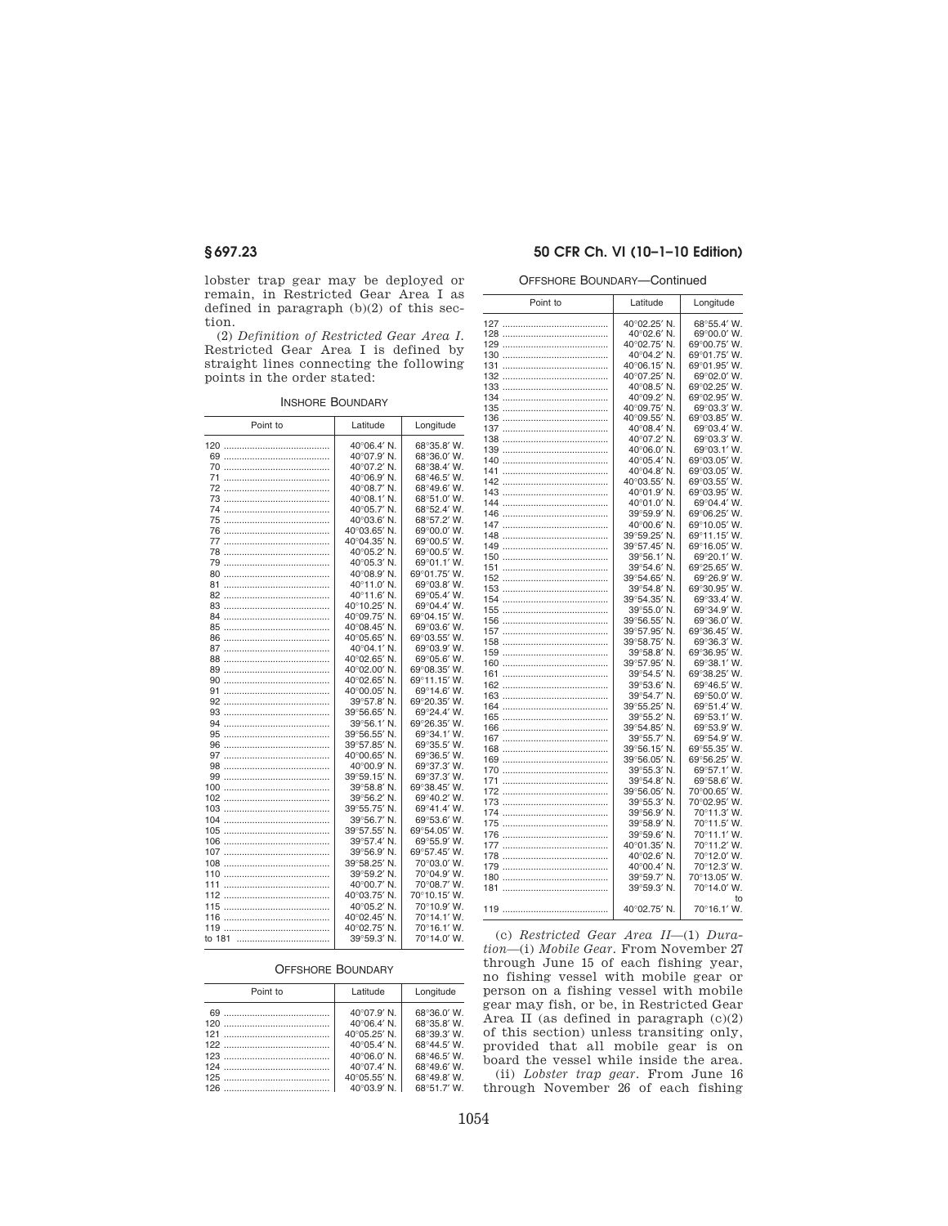lobster trap gear may be deployed or remain, in Restricted Gear Area I as defined in paragraph (b)(2) of this section.

(2) *Definition of Restricted Gear Area I.*  Restricted Gear Area I is defined by straight lines connecting the following points in the order stated:

|  | <b>INSHORE BOUNDARY</b> |
|--|-------------------------|
|--|-------------------------|

| Point to | Latitude     | Longitude    |
|----------|--------------|--------------|
|          | 40°06.4' N.  | 68°35.8' W.  |
|          | 40°07.9' N.  | 68°36.0' W.  |
|          | 40°07.2' N.  | 68°38.4' W.  |
| 71       | 40°06.9' N.  | 68°46.5' W.  |
|          | 40°08.7' N.  | 68°49.6' W.  |
|          | 40°08.1' N.  | 68°51.0' W.  |
|          | 40°05.7' N.  | 68°52.4' W.  |
|          | 40°03.6' N.  | 68°57.2' W.  |
|          | 40°03.65' N. | 69°00.0' W.  |
|          | 40°04.35' N. | 69°00.5' W.  |
|          | 40°05.2' N.  | 69°00.5' W.  |
|          | 40°05.3' N.  | 69°01.1' W.  |
|          | 40°08.9' N.  | 69°01.75' W. |
| 81       | 40°11.0' N.  | 69°03.8' W.  |
|          | 40°11.6' N.  | 69°05.4' W.  |
|          | 40°10.25' N. | 69°04.4' W.  |
|          | 40°09.75' N. | 69°04.15' W. |
| 85       | 40°08.45' N. | 69°03.6' W.  |
|          | 40°05.65' N. | 69°03.55' W. |
| 87       | 40°04.1' N.  | 69°03.9' W.  |
| 88       | 40°02.65' N. | 69°05.6' W.  |
|          | 40°02.00' N. | 69°08.35' W. |
| 90       | 40°02.65' N. | 69°11.15' W. |
| 91       | 40°00.05' N. | 69°14.6' W.  |
| 92       | 39°57.8' N.  | 69°20.35' W. |
|          | 39°56.65' N. | 69°24.4' W.  |
|          | 39°56.1' N.  | 69°26.35' W. |
| 95       | 39°56.55' N. | 69°34.1' W.  |
| 96       | 39°57.85' N. | 69°35.5' W.  |
| 97       | 40°00.65' N. | 69°36.5' W.  |
| 98<br>   | 40°00.9' N.  | 69°37.3' W.  |
|          | 39°59.15′N.  | 69°37.3' W.  |
| 100      | 39°58.8′N.   | 69°38.45' W. |
| 102      | 39°56.2' N.  | 69°40.2' W.  |
| 103      | 39°55.75' N. | 69°41.4' W.  |
|          | 39°56.7' N.  | 69°53.6' W.  |
| 105      | 39°57.55' N. | 69°54.05' W. |
|          | 39°57.4' N.  | 69°55.9' W.  |
|          |              |              |
|          | 39°56.9' N.  | 69°57.45' W. |
| 108      | 39°58.25' N. | 70°03.0' W.  |
| 110      | 39°59.2' N.  | 70°04.9' W.  |
| 111      | 40°00.7' N.  | 70°08.7' W.  |
| 112      | 40°03.75' N. | 70°10.15' W. |
|          | 40°05.2' N.  | 70°10.9' W.  |
|          | 40°02.45' N. | 70°14.1' W.  |
|          | 40°02.75' N. | 70°16.1' W.  |
| to 181   | 39°59.3' N.  | 70°14.0' W.  |
|          |              |              |

# OFFSHORE BOUNDARY—Continued

|     | Point to | Latitude                    | Longitude                   |
|-----|----------|-----------------------------|-----------------------------|
|     |          | 40°02.25' N.                | 68°55.4' W.                 |
|     |          | 40°02.6' N.                 | 69°00.0' W.                 |
|     |          | 40°02.75' N.                | 69°00.75' W.                |
|     |          | 40°04.2' N.                 | 69°01.75' W.                |
|     |          | 40°06.15' N.                | 69°01.95' W.                |
|     |          | 40°07.25' N.                | 69°02.0' W.                 |
|     |          | 40°08.5' N.                 | 69°02.25' W.                |
|     |          | 40°09.2' N.                 | 69°02.95' W.                |
|     |          | 40°09.75' N.                | 69°03.3' W.                 |
|     |          | 40°09.55' N.                | 69°03.85' W.                |
|     |          | 40°08.4' N.                 | 69°03.4' W.                 |
|     |          |                             |                             |
|     |          | 40°07.2' N.                 | 69°03.3' W.                 |
|     |          | 40°06.0' N.                 | 69°03.1' W.                 |
|     |          | 40°05.4' N.                 | 69°03.05' W.                |
| 141 |          | 40°04.8' N.                 | 69°03.05' W.                |
|     |          | 40°03.55' N.                | 69°03.55' W.                |
|     |          | 40°01.9' N.                 | 69°03.95' W.                |
|     |          | 40°01.0' N.                 | 69°04.4' W.                 |
|     |          | 39°59.9' N.                 | 69°06.25' W.                |
|     |          | 40°00.6' N.                 | 69°10.05' W.                |
|     |          | 39°59.25' N.                | 69°11.15' W.                |
|     |          | 39°57.45' N.                | 69°16.05' W.                |
|     |          | 39°56.1' N.                 | 69°20.1' W.                 |
|     |          | 39°54.6' N.                 | 69°25.65' W.                |
|     |          | 39°54.65' N.                | 69°26.9' W.                 |
|     |          | 39°54.8' N.                 | 69°30.95' W.                |
|     |          | 39°54.35' N.                | 69°33.4' W.                 |
|     |          | 39°55.0' N.                 | 69°34.9' W.                 |
|     |          | 39°56.55' N.                | 69°36.0' W.                 |
|     |          | 39°57.95' N.                | 69°36.45' W.                |
|     |          | 39°58.75' N.<br>39°58.8' N. | 69°36.3' W.<br>69°36.95' W. |
|     |          | 39°57.95' N.                | 69°38.1' W.                 |
|     |          | 39°54.5' N.                 | 69°38.25' W.                |
|     |          | 39°53.6' N.                 | 69°46.5' W.                 |
|     |          | 39°54.7' N.                 | 69°50.0' W.                 |
|     |          | 39°55.25' N.                | 69°51.4' W.                 |
|     |          | 39°55.2' N.                 | 69°53.1' W.                 |
|     |          | 39°54.85' N.                | 69°53.9' W.                 |
|     |          | 39°55.7' N.                 | 69°54.9' W.                 |
|     |          | 39°56.15' N.                | 69°55.35' W.                |
|     |          | 39°56.05' N.                | 69°56.25' W.                |
|     |          | 39°55.3' N.                 | 69°57.1' W.                 |
|     |          | 39°54.8' N.                 | 69°58.6' W.                 |
|     |          | 39°56.05' N.                | 70°00.65' W.                |
|     |          | 39°55.3' N.                 | 70°02.95' W.                |
|     |          | 39°56.9' N.                 | 70°11.3' W.                 |
|     |          | 39°58.9' N.                 | 70°11.5' W.                 |
|     |          | 39°59.6' N.                 | 70°11.1' W.                 |
|     |          | 40°01.35' N.                | 70°11.2' W.                 |
|     |          | 40°02.6' N.                 | 70°12.0' W.                 |
|     |          | 40°00.4' N.                 | 70°12.3' W.                 |
|     |          | 39°59.7' N.                 | 70°13.05' W.                |
|     |          | 39°59.3' N.                 | 70°14.0' W.                 |
|     |          |                             | to                          |
|     |          | 40°02.75' N.                | 70°16.1' W.                 |

OFFSHORE BOUNDARY

| Point to | Latitude             | Longitude   |
|----------|----------------------|-------------|
|          | 40°07.9' N.          | 68°36.0' W. |
|          | $40^{\circ}06.4'$ N. | 68°35.8' W. |
|          | 40°05.25' N.         | 68°39.3' W. |
|          | $40^{\circ}05.4'$ N. | 68°44.5' W. |
|          | $40^{\circ}06.0'$ N. | 68°46.5' W. |
|          | 40°07.4' N.          | 68°49.6' W. |
|          | 40°05.55' N.         | 68°49.8' W. |
|          | $40^{\circ}03.9'$ N. | 68°51.7' W. |

(c) *Restricted Gear Area II*—(1) *Duration*—(i) *Mobile Gear.* From November 27 through June 15 of each fishing year, no fishing vessel with mobile gear or person on a fishing vessel with mobile gear may fish, or be, in Restricted Gear Area II (as defined in paragraph  $(c)(2)$ of this section) unless transiting only, provided that all mobile gear is on board the vessel while inside the area. (ii) *Lobster trap gear.* From June 16 through November 26 of each fishing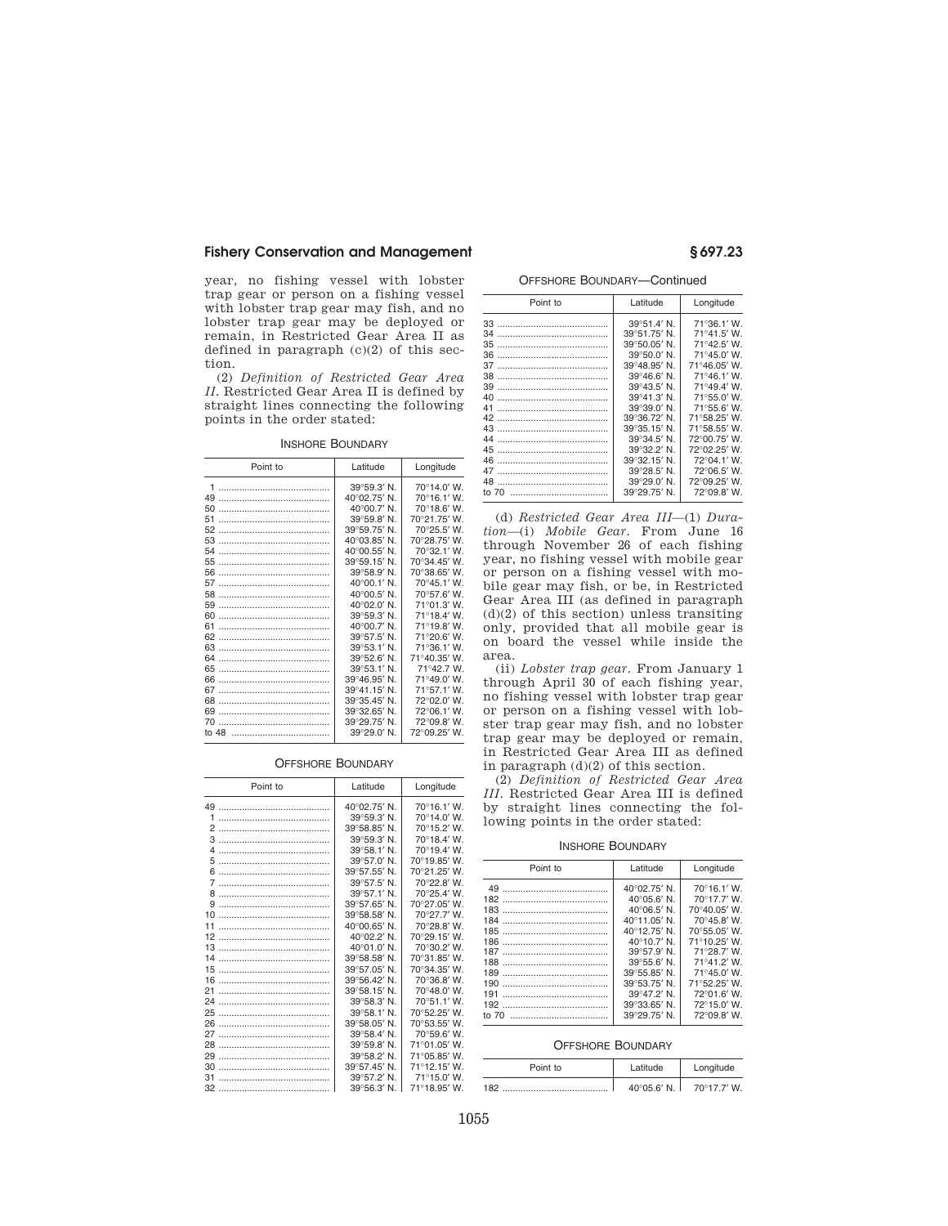### **Fishery Conservation and Management § 697.23**

year, no fishing vessel with lobster trap gear or person on a fishing vessel with lobster trap gear may fish, and no lobster trap gear may be deployed or remain, in Restricted Gear Area II as defined in paragraph (c)(2) of this section.

(2) *Definition of Restricted Gear Area II.* Restricted Gear Area II is defined by straight lines connecting the following points in the order stated:

INSHORE BOUNDARY

| Point to    | Latitude             | Longitude    |
|-------------|----------------------|--------------|
| 1           | 39°59.3' N.          | 70°14.0' W.  |
| 49          | 40°02.75' N.         | 70°16.1' W.  |
| 50          | 40°00.7' N.          | 70°18.6' W.  |
| 51          | 39°59.8' N.          | 70°21.75' W. |
| 52          | 39°59.75' N.         | 70°25.5' W.  |
| 53          | 40°03.85' N.         | 70°28.75' W. |
| 54          | 40°00.55' N.         | 70°32.1' W.  |
| 55          | 39°59.15' N.         | 70°34.45' W. |
|             | 39°58.9' N.          | 70°38.65' W. |
| 57          | 40°00.1' N.          | 70°45.1' W.  |
| 58          | 40°00.5' N.          | 70°57.6' W.  |
| 59          | 40°02.0' N.          | 71°01.3' W.  |
| 60          | $39^{\circ}59.3'$ N. | 71°18.4' W.  |
| 61          | 40°00.7' N.          | 71°19.8' W.  |
| 62          | 39°57.5' N.          | 71°20.6' W.  |
|             | 39°53.1' N.          | 71°36.1' W.  |
| 64          | $39^{\circ}52.6'$ N. | 71°40.35' W. |
| 65          | 39°53.1' N.          | 71°42.7 W.   |
| 66          | 39°46.95' N.         | 71°49.0' W.  |
| 67          | 39°41.15' N.         | 71°57.1'W.   |
| 68          | 39°35.45' N.         | 72°02.0' W.  |
| 69          | 39°32.65' N.         | 72°06.1' W.  |
| 70          | 39°29.75' N.         | 72°09.8' W.  |
| to $48$<br> | 39°29.0' N.          | 72°09.25' W. |

### OFFSHORE BOUNDARY

| Point to       | Latitude     | Longitude    |
|----------------|--------------|--------------|
| 49             | 40°02.75' N. | 70°16.1' W.  |
| 1              | 39°59.3' N.  | 70°14.0' W.  |
| $\overline{2}$ | 39°58.85' N. | 70°15.2' W.  |
| 3              | 39°59.3' N.  | 70°18.4' W.  |
| $\overline{4}$ | 39°58.1' N.  | 70°19.4' W.  |
| 5              | 39°57.0' N.  | 70°19.85' W. |
| 6              | 39°57.55' N. | 70°21.25' W. |
| 7              | 39°57.5' N.  | 70°22.8' W.  |
| R              | 39°57.1' N.  | 70°25.4' W.  |
| 9              | 39°57.65' N. | 70°27.05' W. |
| 10             | 39°58.58' N. | 70°27.7' W.  |
| 11             | 40°00.65' N. | 70°28.8' W.  |
| 12             | 40°02.2' N.  | 70°29.15' W. |
| 13             | 40°01.0' N.  | 70°30.2' W.  |
| 14             | 39°58.58' N. | 70°31.85' W. |
| 15             | 39°57.05' N. | 70°34.35' W. |
| 16             | 39°56.42' N. | 70°36.8' W.  |
| 21             | 39°58.15' N. | 70°48.0' W.  |
| 24             | 39°58.3' N.  | 70°51.1' W.  |
| 25             | 39°58.1' N.  | 70°52.25' W. |
| 26             | 39°58.05' N. | 70°53.55' W. |
| 27             | 39°58.4' N.  | 70°59.6' W.  |
| 28             | 39°59.8' N.  | 71°01.05' W. |
| 29             | 39°58.2' N.  | 71°05.85' W. |
| 30             | 39°57.45' N. | 71°12.15' W. |
| 31             | 39°57.2' N.  | 71°15.0' W.  |
|                | 39°56.3' N.  | 71°18.95' W. |

OFFSHORE BOUNDARY—Continued

| Point to | Latitude             | Longitude    |
|----------|----------------------|--------------|
|          | 39°51.4' N.          | 71°36.1' W.  |
| 34       | 39°51.75' N.         | 71°41.5' W.  |
| 35       | 39°50.05' N.         | 71°42.5' W.  |
| 36       | 39°50.0' N.          | 71°45.0' W.  |
| 37       | 39°48.95' N.         | 71°46.05' W. |
| 38       | $39^{\circ}46.6'$ N. | 71°46.1' W.  |
| 39       | $39^{\circ}43.5'$ N. | 71°49.4' W.  |
| 40       | 39°41.3' N.          | 71°55.0' W.  |
| 41       | 39°39.0' N.          | 71°55.6' W.  |
| 42       | 39°36.72' N.         | 71°58.25' W. |
| 43       | 39°35.15' N.         | 71°58.55' W. |
| 44       | 39°34.5' N.          | 72°00.75' W. |
| 45       | 39°32.2' N.          | 72°02.25' W. |
| 46       | 39°32.15' N.         | 72°04.1' W.  |
| 47       | 39°28.5' N.          | 72°06.5' W.  |
| 48       | 39°29.0' N.          | 72°09.25' W. |
| to $70$  | 39°29.75' N.         | 72°09.8' W.  |

(d) *Restricted Gear Area III*—(1) *Duration*—(i) *Mobile Gear.* From June 16 through November 26 of each fishing year, no fishing vessel with mobile gear or person on a fishing vessel with mobile gear may fish, or be, in Restricted Gear Area III (as defined in paragraph (d)(2) of this section) unless transiting only, provided that all mobile gear is on board the vessel while inside the area.

(ii) *Lobster trap gear.* From January 1 through April 30 of each fishing year, no fishing vessel with lobster trap gear or person on a fishing vessel with lobster trap gear may fish, and no lobster trap gear may be deployed or remain, in Restricted Gear Area III as defined in paragraph  $\left( d\right) (2)$  of this section.

(2) *Definition of Restricted Gear Area III.* Restricted Gear Area III is defined by straight lines connecting the following points in the order stated:

INSHORE BOUNDARY

| Point to                     | Latitude                                                                                                                                                                                                            | Longitude                                                                                                                                                            |
|------------------------------|---------------------------------------------------------------------------------------------------------------------------------------------------------------------------------------------------------------------|----------------------------------------------------------------------------------------------------------------------------------------------------------------------|
| 184<br>185<br><br>189<br>190 | 40°02.75' N.<br>$40^{\circ}05.6'$ N.<br>$40^{\circ}06.5'$ N.<br>40°11.05' N.<br>40°12.75' N.<br>$40^{\circ}10.7'$ N.<br>$39^{\circ}57.9'$ N.<br>$39^{\circ}55.6'$ N.<br>39°55.85' N.<br>39°53.75' N.<br>39°47.2' N. | 70°16.1' W.<br>70°17.7' W.<br>70°40.05' W.<br>70°45.8' W.<br>70°55.05' W.<br>71°10.25' W.<br>71°28.7' W.<br>71°41 2' W<br>71°45.0' W.<br>71°52.25' W.<br>72°01.6' W. |
| to 70                        | 39°33.65' N.<br>39°29.75' N.                                                                                                                                                                                        | 72°150'W<br>72°09.8' W.                                                                                                                                              |
|                              |                                                                                                                                                                                                                     |                                                                                                                                                                      |

### OFFSHORE BOUNDARY

| Point to | Abutite I            | Longitude            |
|----------|----------------------|----------------------|
| 182      | $40^{\circ}05.6'$ N. | $70^{\circ}17.7'$ W. |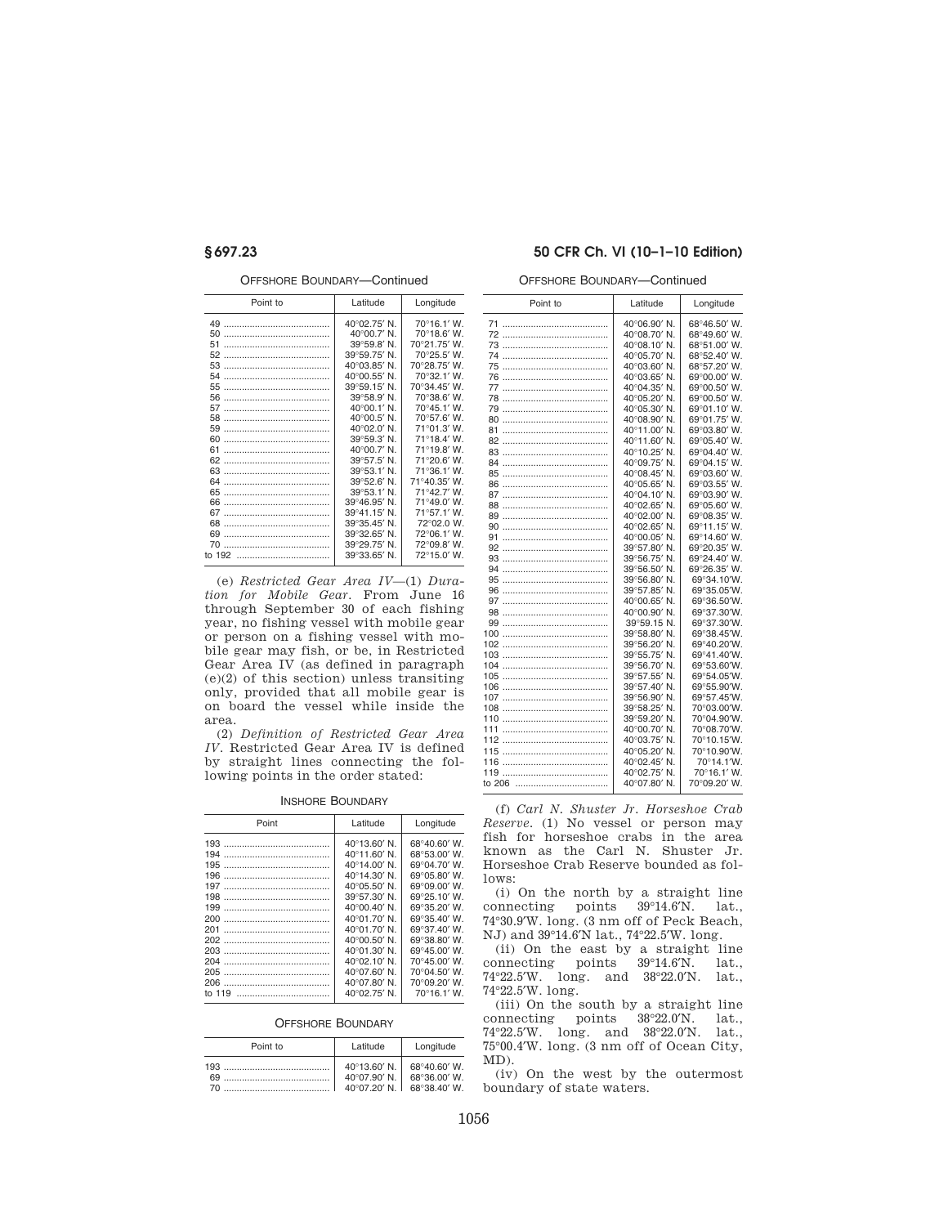OFFSHORE BOUNDARY—Continued

| Point to           | Latitude     | Longitude             |
|--------------------|--------------|-----------------------|
| 49                 | 40°02.75' N. | $70^{\circ}16.1' W$ . |
| 50                 | 40°00.7' N.  | 70°18.6' W.           |
| 51                 | 39°59.8' N.  | 70°21.75' W.          |
| 52                 | 39°59.75' N. | 70°25.5' W.           |
| 53                 | 40°03.85' N. | 70°28.75' W.          |
| 54                 | 40°00.55' N. | 70°32.1' W.           |
| 55                 | 39°59.15' N. | 70°34.45' W.          |
| 56                 | 39°58.9' N.  | 70°38.6' W.           |
| 57                 | 40°00.1' N.  | 70°45.1' W.           |
| 58                 | 40°00.5' N.  | 70°57.6' W.           |
| 59                 | 40°02.0' N.  | 71°01.3' W.           |
| 60                 | 39°59.3' N.  | 71°18.4' W.           |
| 61                 | 40°00.7' N.  | 71°19.8' W.           |
| 62                 | 39°57.5' N.  | 71°20.6' W.           |
| 63                 | 39°53.1' N.  | 71°36.1' W.           |
| 64                 | 39°52.6' N.  | 71°40.35' W.          |
| 65                 | 39°53.1' N.  | 71°42.7' W.           |
| 66                 | 39°46.95' N. | 71°49.0' W.           |
| 67                 | 39°41.15' N. | 71°57.1' W.           |
| 68                 | 39°35.45' N. | 72°02.0 W.            |
| 69<br>             | 39°32.65' N. | 72°06.1' W.           |
| 70                 | 39°29.75' N. | 72°09.8' W.           |
| to 192 …………………………… | 39°33.65' N. | 72°15.0' W.           |
|                    |              |                       |

(e) *Restricted Gear Area IV*—(1) *Duration for Mobile Gear.* From June 16 through September 30 of each fishing year, no fishing vessel with mobile gear or person on a fishing vessel with mobile gear may fish, or be, in Restricted Gear Area IV (as defined in paragraph (e)(2) of this section) unless transiting only, provided that all mobile gear is on board the vessel while inside the area.

(2) *Definition of Restricted Gear Area IV.* Restricted Gear Area IV is defined by straight lines connecting the following points in the order stated:

### INSHORE BOUNDARY

| Point    | Latitude              | Longitude            |
|----------|-----------------------|----------------------|
| 193      | $40^{\circ}13.60'$ N. | 68°40.60' W.         |
| 194      | $40^{\circ}11.60'$ N. | 68°53.00' W.         |
| 195      | $40^{\circ}14.00'$ N. | 69°04.70' W.         |
| 196      | $40^{\circ}14.30'$ N. | 69°05.80' W.         |
| 197      | $40^{\circ}05.50'$ N. | 69°09.00' W.         |
| 198      | 39°57.30' N.          | 69°25.10' W.         |
| 199      | 40°00.40' N.          | 69°35.20' W.         |
| 200      | 40°01.70' N.          | 69°35.40' W.         |
| 201      | 40°01.70' N.          | 69°37.40' W.         |
| 202      | 40°00.50' N.          | 69°38.80' W.         |
| 203      | 40°01.30' N.          | 69°45.00' W.         |
| 204      | 40°02.10' N.          | 70°45.00' W.         |
| 205      | 40°07.60' N.          | 70°04.50' W.         |
| 206      | 40°07.80' N.          | 70°09.20' W.         |
| to $119$ | $40^{\circ}02.75'$ N. | $70^{\circ}16.1'$ W. |
|          |                       |                      |

### OFFSHORE BOUNDARY

| Point to | Latitude                                    | Longitude                                   |
|----------|---------------------------------------------|---------------------------------------------|
| 69.      | 40°13.60' N.<br>40°07.90' N.<br>40°07 20' N | 68°40.60' W.<br>68°36.00' W.<br>68°38 40' W |

### **§ 697.23 50 CFR Ch. VI (10–1–10 Edition)**

OFFSHORE BOUNDARY—Continued

| Point to | Latitude     | Longitude    |
|----------|--------------|--------------|
|          | 40°06.90' N. | 68°46.50' W. |
|          | 40°08.70' N. | 68°49.60' W. |
|          | 40°08.10' N. | 68°51.00' W. |
|          | 40°05.70' N. | 68°52.40' W. |
|          | 40°03.60' N. | 68°57.20' W. |
|          | 40°03.65' N. | 69°00.00' W. |
|          | 40°04.35' N. | 69°00.50' W. |
|          | 40°05.20' N. | 69°00.50' W. |
|          | 40°05.30' N. | 69°01.10' W. |
|          | 40°08.90' N. | 69°01.75' W. |
| 81       | 40°11.00' N. | 69°03.80' W. |
|          | 40°11.60' N. | 69°05.40' W. |
|          | 40°10.25' N. | 69°04.40' W. |
|          | 40°09.75' N. | 69°04.15' W. |
|          | 40°08.45' N. | 69°03.60' W. |
|          | 40°05.65' N. | 69°03.55' W. |
|          | 40°04.10' N. | 69°03.90' W. |
| 88<br>   | 40°02.65' N. | 69°05.60' W. |
|          | 40°02.00' N. | 69°08.35' W. |
|          | 40°02.65' N. | 69°11.15' W. |
| 91       | 40°00.05' N. | 69°14.60' W. |
|          | 39°57.80' N. | 69°20.35' W. |
|          | 39°56.75' N. | 69°24.40' W. |
|          | 39°56.50' N. | 69°26.35' W. |
|          | 39°56.80' N. | 69°34.10'W.  |
|          | 39°57.85' N. | 69°35.05'W.  |
|          | 40°00.65' N. | 69°36.50'W.  |
|          | 40°00.90' N. | 69°37.30'W.  |
|          | 39°59.15 N.  | 69°37.30'W.  |
|          | 39°58.80' N. | 69°38.45'W.  |
| 102<br>  | 39°56.20' N. | 69°40.20'W.  |
| 103      | 39°55.75' N. | 69°41.40'W.  |
| 104      | 39°56.70' N. | 69°53.60'W.  |
|          | 39°57.55' N. | 69°54.05'W.  |
|          | 39°57.40' N. | 69°55.90'W.  |
|          | 39°56.90' N. | 69°57.45'W.  |
| 108      | 39°58.25' N. | 70°03.00'W.  |
| 110      | 39°59.20' N. | 70°04.90'W.  |
| 111      | 40°00.70' N. | 70°08.70'W.  |
|          | 40°03.75' N. | 70°10.15'W.  |
|          | 40°05.20' N. | 70°10.90'W.  |
| 116      | 40°02.45' N. | 70°14.1'W.   |
| 119      | 40°02.75' N. | 70°16.1' W.  |
| to 206   | 40°07.80' N. | 70°09.20' W. |
|          |              |              |

(f) *Carl N. Shuster Jr. Horseshoe Crab Reserve.* (1) No vessel or person may fish for horseshoe crabs in the area known as the Carl N. Shuster Jr. Horseshoe Crab Reserve bounded as follows:

(i) On the north by a straight line connecting points 39°14.6′N. lat., 74°30.9′W. long. (3 nm off of Peck Beach, NJ) and 39°14.6′N lat., 74°22.5′W. long.

(ii) On the east by a straight line connecting points 39°14.6′N. lat., 74°22.5′W. long. and 38°22.0′N. lat., 74°22.5′W. long.

(iii) On the south by a straight line connecting points 38°22.0′N. lat., 74°22.5′W. long. and 38°22.0′N. lat., 75°00.4′W. long. (3 nm off of Ocean City, MD).

(iv) On the west by the outermost boundary of state waters.